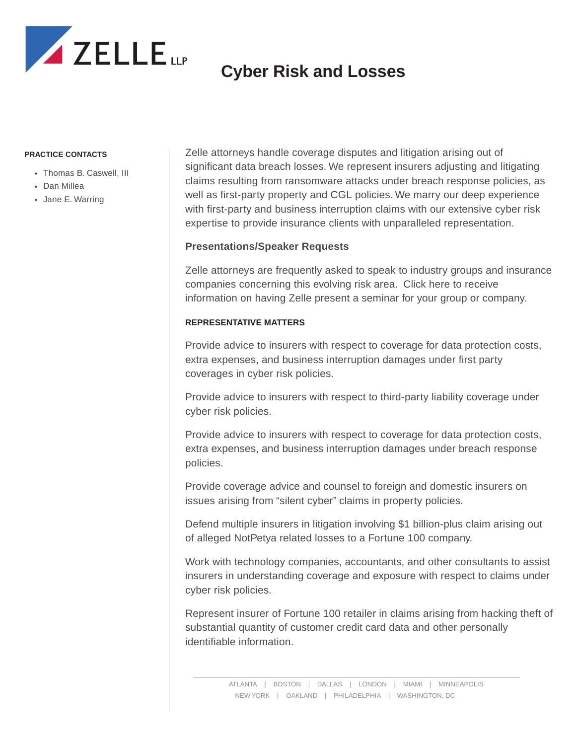

## **Cyber Risk and Losses**

#### **PRACTICE CONTACTS**

- Thomas B. Caswell, III
- Dan Millea
- Jane E. Warring

Zelle attorneys handle coverage disputes and litigation arising out of significant data breach losses. We represent insurers adjusting and litigating claims resulting from ransomware attacks under breach response policies, as well as first-party property and CGL policies. We marry our deep experience with first-party and business interruption claims with our extensive cyber risk expertise to provide insurance clients with unparalleled representation.

### **Presentations/Speaker Requests**

Zelle attorneys are frequently asked to speak to industry groups and insurance companies concerning this evolving risk area. Click here to receive information on having Zelle present a seminar for your group or company.

### **REPRESENTATIVE MATTERS**

Provide advice to insurers with respect to coverage for data protection costs, extra expenses, and business interruption damages under first party coverages in cyber risk policies.

Provide advice to insurers with respect to third-party liability coverage under cyber risk policies.

Provide advice to insurers with respect to coverage for data protection costs, extra expenses, and business interruption damages under breach response policies.

Provide coverage advice and counsel to foreign and domestic insurers on issues arising from "silent cyber" claims in property policies.

Defend multiple insurers in litigation involving \$1 billion-plus claim arising out of alleged NotPetya related losses to a Fortune 100 company.

Work with technology companies, accountants, and other consultants to assist insurers in understanding coverage and exposure with respect to claims under cyber risk policies.

Represent insurer of Fortune 100 retailer in claims arising from hacking theft of substantial quantity of customer credit card data and other personally identifiable information.